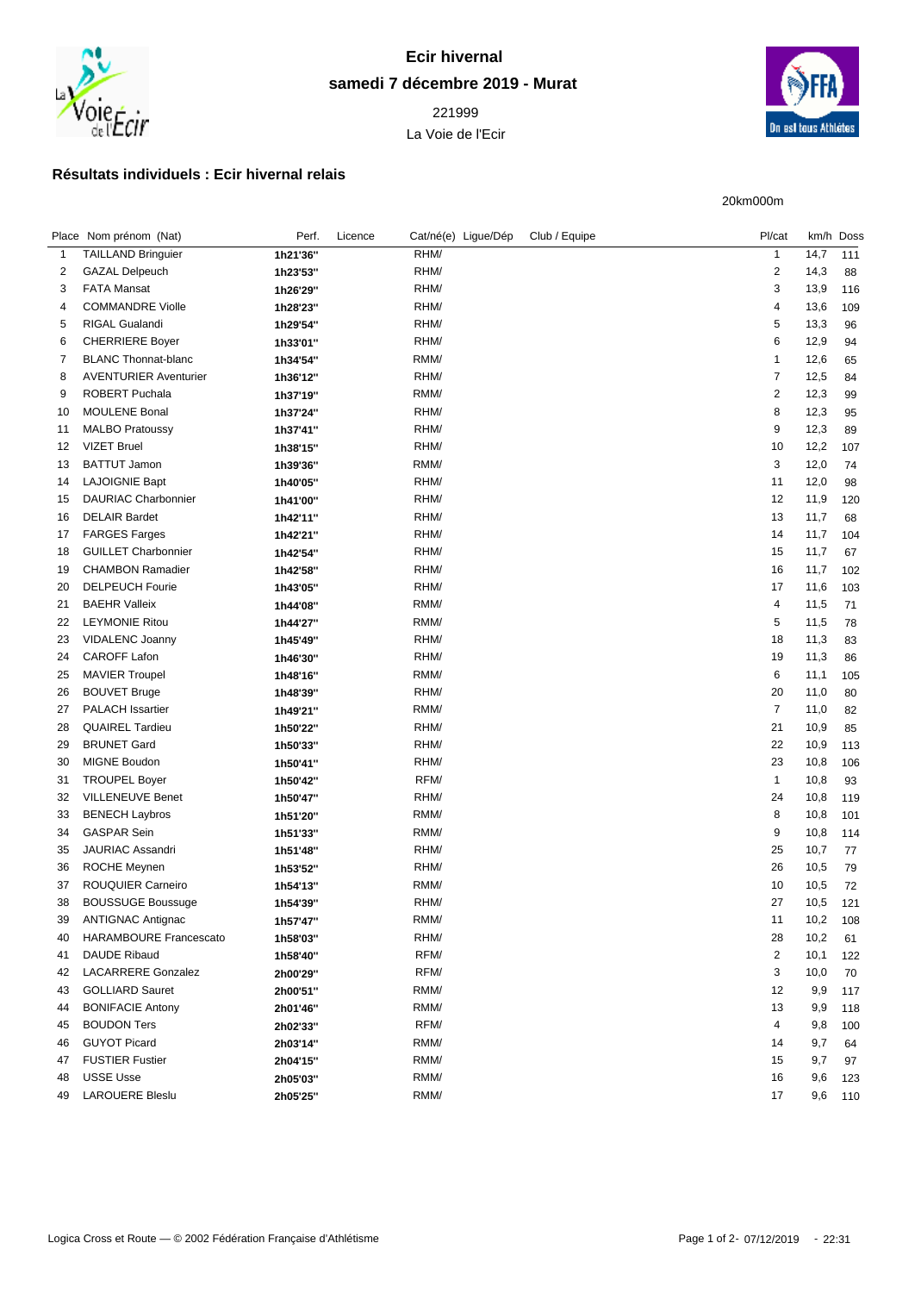

## **Ecir hivernal samedi 7 décembre 2019 - Murat**

 La Voie de l'Ecir



20km000m

## **Résultats individuels : Ecir hivernal relais**

| Place Nom prénom (Nat)        | Perf.    | Licence                                                  | Cat/né(e) Ligue/Dép | Club / Equipe | Pl/cat         |      | km/h Doss    |
|-------------------------------|----------|----------------------------------------------------------|---------------------|---------------|----------------|------|--------------|
| <b>TAILLAND Bringuier</b>     | 1h21'36" |                                                          | RHM/                |               | $\mathbf{1}$   | 14,7 | 111          |
| <b>GAZAL Delpeuch</b>         | 1h23'53" |                                                          | RHM/                |               | $\overline{c}$ | 14,3 | 88           |
| <b>FATA Mansat</b>            | 1h26'29" |                                                          | RHM/                |               | 3              | 13,9 | 116          |
| <b>COMMANDRE Violle</b>       | 1h28'23" |                                                          | RHM/                |               | 4              | 13,6 | 109          |
| RIGAL Gualandi                | 1h29'54" |                                                          | RHM/                |               | 5              | 13,3 | 96           |
| <b>CHERRIERE Boyer</b>        | 1h33'01" |                                                          | RHM/                |               | 6              | 12,9 | 94           |
| <b>BLANC Thonnat-blanc</b>    | 1h34'54" |                                                          | RMM/                |               | $\mathbf{1}$   | 12,6 | 65           |
| <b>AVENTURIER Aventurier</b>  | 1h36'12" |                                                          | RHM/                |               | $\overline{7}$ | 12,5 | 84           |
| <b>ROBERT Puchala</b>         | 1h37'19" |                                                          | RMM/                |               | $\overline{c}$ | 12,3 | 99           |
| <b>MOULENE Bonal</b>          | 1h37'24" |                                                          | RHM/                |               | 8              | 12,3 | 95           |
| <b>MALBO Pratoussy</b>        | 1h37'41" |                                                          | RHM/                |               | 9              | 12,3 | 89           |
| <b>VIZET Bruel</b>            | 1h38'15" |                                                          | RHM/                |               | 10             | 12,2 | 107          |
| <b>BATTUT Jamon</b>           | 1h39'36" |                                                          | RMM/                |               | $\mathsf 3$    | 12,0 | 74           |
| <b>LAJOIGNIE Bapt</b>         | 1h40'05" |                                                          | RHM/                |               | 11             | 12,0 | 98           |
| <b>DAURIAC Charbonnier</b>    | 1h41'00" |                                                          | RHM/                |               | 12             | 11,9 | 120          |
| <b>DELAIR Bardet</b>          | 1h42'11" |                                                          | RHM/                |               | 13             | 11,7 | 68           |
| <b>FARGES Farges</b>          | 1h42'21" |                                                          | RHM/                |               | 14             | 11,7 | 104          |
| <b>GUILLET Charbonnier</b>    | 1h42'54" |                                                          | RHM/                |               | 15             | 11,7 | 67           |
| <b>CHAMBON Ramadier</b>       | 1h42'58" |                                                          | RHM/                |               | 16             | 11,7 | 102          |
| <b>DELPEUCH Fourie</b>        | 1h43'05" |                                                          | RHM/                |               | 17             | 11,6 | 103          |
| <b>BAEHR Valleix</b>          | 1h44'08" |                                                          | RMM/                |               | 4              | 11,5 | 71           |
| <b>LEYMONIE Ritou</b>         | 1h44'27" |                                                          | RMM/                |               | 5              | 11,5 | 78           |
| <b>VIDALENC Joanny</b>        | 1h45'49" |                                                          | RHM/                |               | 18             |      | 83           |
| <b>CAROFF Lafon</b>           |          |                                                          | RHM/                |               | 19             |      | 86           |
| <b>MAVIER Troupel</b>         | 1h48'16" |                                                          | RMM/                |               | 6              | 11,1 | 105          |
| <b>BOUVET Bruge</b>           |          |                                                          | RHM/                |               | 20             | 11,0 | 80           |
| <b>PALACH Issartier</b>       | 1h49'21" |                                                          | RMM/                |               | $\overline{7}$ | 11,0 | 82           |
| <b>QUAIREL Tardieu</b>        | 1h50'22" |                                                          | RHM/                |               | 21             | 10,9 | 85           |
| <b>BRUNET Gard</b>            |          |                                                          | RHM/                |               | 22             | 10,9 | 113          |
| <b>MIGNE Boudon</b>           | 1h50'41" |                                                          | RHM/                |               | 23             | 10,8 | 106          |
| <b>TROUPEL Boyer</b>          |          |                                                          | RFM/                |               | $\mathbf{1}$   | 10,8 | 93           |
| <b>VILLENEUVE Benet</b>       | 1h50'47" |                                                          | RHM/                |               | 24             | 10,8 | 119          |
| <b>BENECH Laybros</b>         | 1h51'20" |                                                          | RMM/                |               | 8              | 10,8 | 101          |
| <b>GASPAR Sein</b>            | 1h51'33" |                                                          | RMM/                |               | 9              | 10,8 | 114          |
| JAURIAC Assandri              | 1h51'48" |                                                          | RHM/                |               | 25             | 10,7 | 77           |
| <b>ROCHE Meynen</b>           | 1h53'52" |                                                          | RHM/                |               | 26             | 10,5 | 79           |
| ROUQUIER Carneiro             | 1h54'13" |                                                          | RMM/                |               | 10             | 10,5 | 72           |
| <b>BOUSSUGE Boussuge</b>      | 1h54'39" |                                                          | RHM/                |               | 27             | 10,5 | 121          |
| <b>ANTIGNAC Antignac</b>      | 1h57'47" |                                                          | RMM/                |               | 11             | 10,2 | 108          |
| <b>HARAMBOURE Francescato</b> | 1h58'03" |                                                          | RHM/                |               | 28             | 10,2 | 61           |
| DAUDE Ribaud                  | 1h58'40" |                                                          | RFM/                |               | $\overline{c}$ | 10,1 | 122          |
| <b>LACARRERE Gonzalez</b>     | 2h00'29" |                                                          | RFM/                |               | 3              | 10,0 | 70           |
| <b>GOLLIARD Sauret</b>        | 2h00'51" |                                                          | RMM/                |               | 12             | 9,9  | 117          |
| <b>BONIFACIE Antony</b>       | 2h01'46" |                                                          | RMM/                |               | 13             | 9,9  | 118          |
| <b>BOUDON Ters</b>            | 2h02'33" |                                                          | RFM/                |               | 4              | 9,8  | 100          |
| <b>GUYOT Picard</b>           | 2h03'14" |                                                          | RMM/                |               | 14             | 9,7  | 64           |
| <b>FUSTIER Fustier</b>        | 2h04'15" |                                                          | RMM/                |               | 15             | 9,7  | 97           |
| <b>USSE Usse</b>              |          |                                                          | RMM/                |               | 16             | 9,6  | 123          |
| <b>LAROUERE Bleslu</b>        | 2h05'25" |                                                          | RMM/                |               | 17             | 9,6  | 110          |
|                               |          | 1h46'30"<br>1h48'39"<br>1h50'33"<br>1h50'42"<br>2h05'03" |                     |               |                |      | 11,3<br>11,3 |